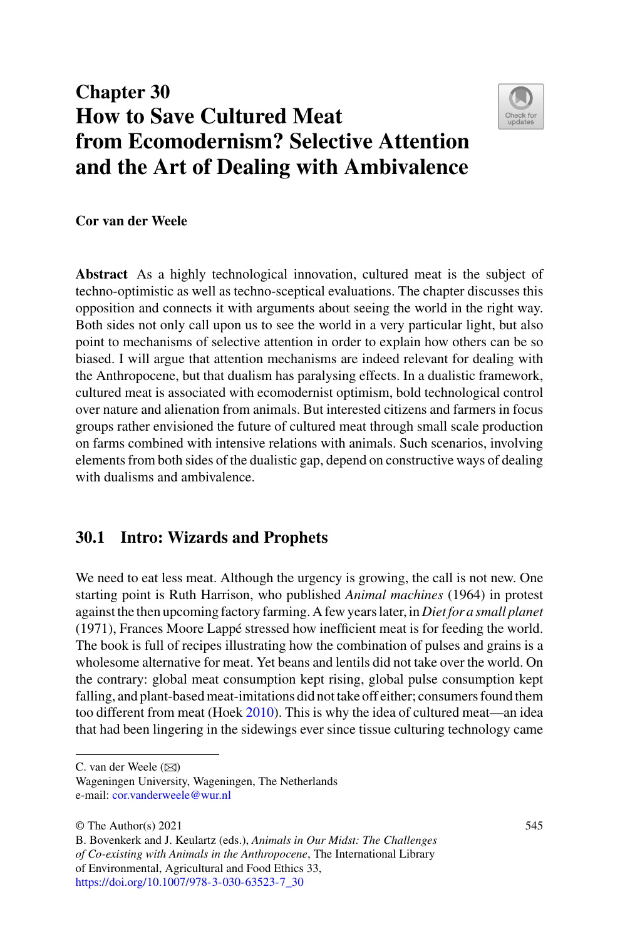# **Chapter 30 How to Save Cultured Meat from Ecomodernism? Selective Attention and the Art of Dealing with Ambivalence**



**Cor van der Weele**

**Abstract** As a highly technological innovation, cultured meat is the subject of techno-optimistic as well as techno-sceptical evaluations. The chapter discusses this opposition and connects it with arguments about seeing the world in the right way. Both sides not only call upon us to see the world in a very particular light, but also point to mechanisms of selective attention in order to explain how others can be so biased. I will argue that attention mechanisms are indeed relevant for dealing with the Anthropocene, but that dualism has paralysing effects. In a dualistic framework, cultured meat is associated with ecomodernist optimism, bold technological control over nature and alienation from animals. But interested citizens and farmers in focus groups rather envisioned the future of cultured meat through small scale production on farms combined with intensive relations with animals. Such scenarios, involving elements from both sides of the dualistic gap, depend on constructive ways of dealing with dualisms and ambivalence.

## **30.1 Intro: Wizards and Prophets**

We need to eat less meat. Although the urgency is growing, the call is not new. One starting point is Ruth Harrison, who published *Animal machines* (1964) in protest against the then upcoming factory farming. A few years later, in*Diet for a small planet* (1971), Frances Moore Lappé stressed how inefficient meat is for feeding the world. The book is full of recipes illustrating how the combination of pulses and grains is a wholesome alternative for meat. Yet beans and lentils did not take over the world. On the contrary: global meat consumption kept rising, global pulse consumption kept falling, and plant-based meat-imitations did not take off either; consumers found them too different from meat (Hoek [2010\)](#page-11-0). This is why the idea of cultured meat—an idea that had been lingering in the sidewings ever since tissue culturing technology came

545

C. van der Weele  $(\boxtimes)$ 

Wageningen University, Wageningen, The Netherlands e-mail: [cor.vanderweele@wur.nl](mailto:cor.vanderweele@wur.nl)

<sup>©</sup> The Author(s) 2021

B. Bovenkerk and J. Keulartz (eds.), *Animals in Our Midst: The Challenges of Co-existing with Animals in the Anthropocene*, The International Library of Environmental, Agricultural and Food Ethics 33, [https://doi.org/10.1007/978-3-030-63523-7\\_30](https://doi.org/10.1007/978-3-030-63523-7_30)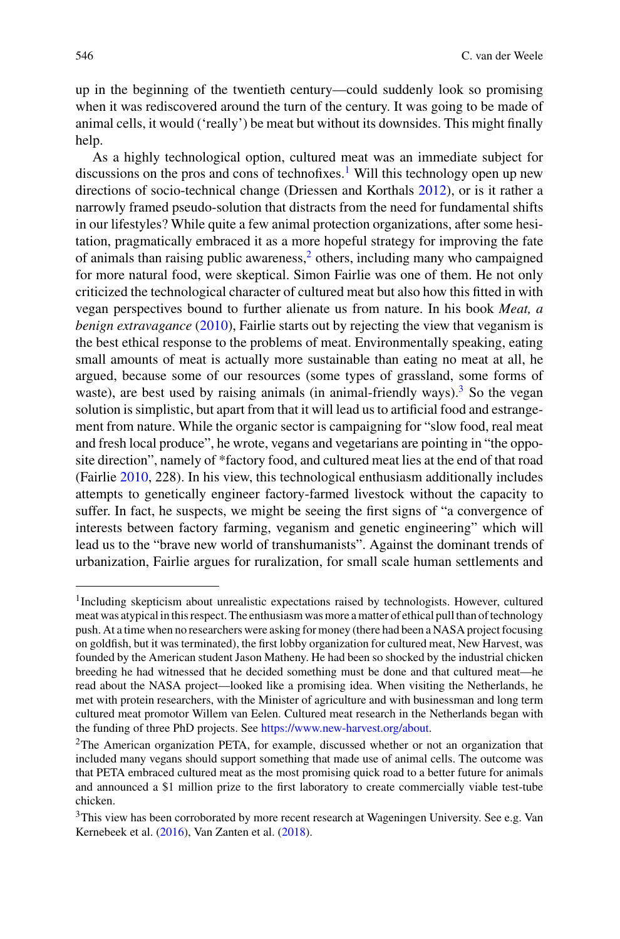up in the beginning of the twentieth century—could suddenly look so promising when it was rediscovered around the turn of the century. It was going to be made of animal cells, it would ('really') be meat but without its downsides. This might finally help.

As a highly technological option, cultured meat was an immediate subject for discussions on the pros and cons of technofixes.<sup>1</sup> Will this technology open up new directions of socio-technical change (Driessen and Korthals [2012\)](#page-11-1), or is it rather a narrowly framed pseudo-solution that distracts from the need for fundamental shifts in our lifestyles? While quite a few animal protection organizations, after some hesitation, pragmatically embraced it as a more hopeful strategy for improving the fate of animals than raising public awareness, $\frac{2}{3}$  others, including many who campaigned for more natural food, were skeptical. Simon Fairlie was one of them. He not only criticized the technological character of cultured meat but also how this fitted in with vegan perspectives bound to further alienate us from nature. In his book *Meat, a benign extravagance* [\(2010\)](#page-11-2), Fairlie starts out by rejecting the view that veganism is the best ethical response to the problems of meat. Environmentally speaking, eating small amounts of meat is actually more sustainable than eating no meat at all, he argued, because some of our resources (some types of grassland, some forms of waste), are best used by raising animals (in animal-friendly ways).<sup>3</sup> So the vegan solution is simplistic, but apart from that it will lead us to artificial food and estrangement from nature. While the organic sector is campaigning for "slow food, real meat and fresh local produce", he wrote, vegans and vegetarians are pointing in "the opposite direction", namely of \*factory food, and cultured meat lies at the end of that road (Fairlie [2010,](#page-11-2) 228). In his view, this technological enthusiasm additionally includes attempts to genetically engineer factory-farmed livestock without the capacity to suffer. In fact, he suspects, we might be seeing the first signs of "a convergence of interests between factory farming, veganism and genetic engineering" which will lead us to the "brave new world of transhumanists". Against the dominant trends of urbanization, Fairlie argues for ruralization, for small scale human settlements and

<span id="page-1-0"></span><sup>&</sup>lt;sup>1</sup>Including skepticism about unrealistic expectations raised by technologists. However, cultured meat was atypical in this respect. The enthusiasm was more a matter of ethical pull than of technology push. At a time when no researchers were asking for money (there had been a NASA project focusing on goldfish, but it was terminated), the first lobby organization for cultured meat, New Harvest, was founded by the American student Jason Matheny. He had been so shocked by the industrial chicken breeding he had witnessed that he decided something must be done and that cultured meat—he read about the NASA project—looked like a promising idea. When visiting the Netherlands, he met with protein researchers, with the Minister of agriculture and with businessman and long term cultured meat promotor Willem van Eelen. Cultured meat research in the Netherlands began with the funding of three PhD projects. See [https://www.new-harvest.org/about.](https://www.new-harvest.org/about)

<span id="page-1-1"></span><sup>2</sup>The American organization PETA, for example, discussed whether or not an organization that included many vegans should support something that made use of animal cells. The outcome was that PETA embraced cultured meat as the most promising quick road to a better future for animals and announced a \$1 million prize to the first laboratory to create commercially viable test-tube chicken.

<span id="page-1-2"></span><sup>3</sup>This view has been corroborated by more recent research at Wageningen University. See e.g. Van Kernebeek et al. [\(2016\)](#page-12-0), Van Zanten et al. [\(2018\)](#page-12-1).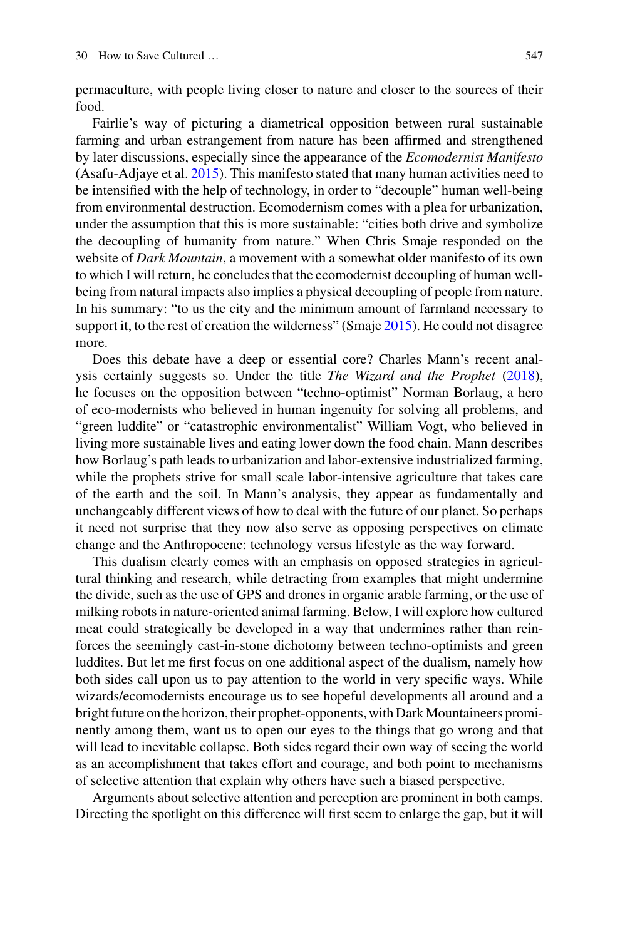permaculture, with people living closer to nature and closer to the sources of their food.

Fairlie's way of picturing a diametrical opposition between rural sustainable farming and urban estrangement from nature has been affirmed and strengthened by later discussions, especially since the appearance of the *Ecomodernist Manifesto* (Asafu-Adjaye et al. [2015\)](#page-11-3). This manifesto stated that many human activities need to be intensified with the help of technology, in order to "decouple" human well-being from environmental destruction. Ecomodernism comes with a plea for urbanization, under the assumption that this is more sustainable: "cities both drive and symbolize the decoupling of humanity from nature." When Chris Smaje responded on the website of *Dark Mountain*, a movement with a somewhat older manifesto of its own to which I will return, he concludes that the ecomodernist decoupling of human wellbeing from natural impacts also implies a physical decoupling of people from nature. In his summary: "to us the city and the minimum amount of farmland necessary to support it, to the rest of creation the wilderness" (Smaje [2015\)](#page-11-4). He could not disagree more.

Does this debate have a deep or essential core? Charles Mann's recent analysis certainly suggests so. Under the title *The Wizard and the Prophet* [\(2018\)](#page-11-5), he focuses on the opposition between "techno-optimist" Norman Borlaug, a hero of eco-modernists who believed in human ingenuity for solving all problems, and "green luddite" or "catastrophic environmentalist" William Vogt, who believed in living more sustainable lives and eating lower down the food chain. Mann describes how Borlaug's path leads to urbanization and labor-extensive industrialized farming, while the prophets strive for small scale labor-intensive agriculture that takes care of the earth and the soil. In Mann's analysis, they appear as fundamentally and unchangeably different views of how to deal with the future of our planet. So perhaps it need not surprise that they now also serve as opposing perspectives on climate change and the Anthropocene: technology versus lifestyle as the way forward.

This dualism clearly comes with an emphasis on opposed strategies in agricultural thinking and research, while detracting from examples that might undermine the divide, such as the use of GPS and drones in organic arable farming, or the use of milking robots in nature-oriented animal farming. Below, I will explore how cultured meat could strategically be developed in a way that undermines rather than reinforces the seemingly cast-in-stone dichotomy between techno-optimists and green luddites. But let me first focus on one additional aspect of the dualism, namely how both sides call upon us to pay attention to the world in very specific ways. While wizards/ecomodernists encourage us to see hopeful developments all around and a bright future on the horizon, their prophet-opponents, with Dark Mountaineers prominently among them, want us to open our eyes to the things that go wrong and that will lead to inevitable collapse. Both sides regard their own way of seeing the world as an accomplishment that takes effort and courage, and both point to mechanisms of selective attention that explain why others have such a biased perspective.

Arguments about selective attention and perception are prominent in both camps. Directing the spotlight on this difference will first seem to enlarge the gap, but it will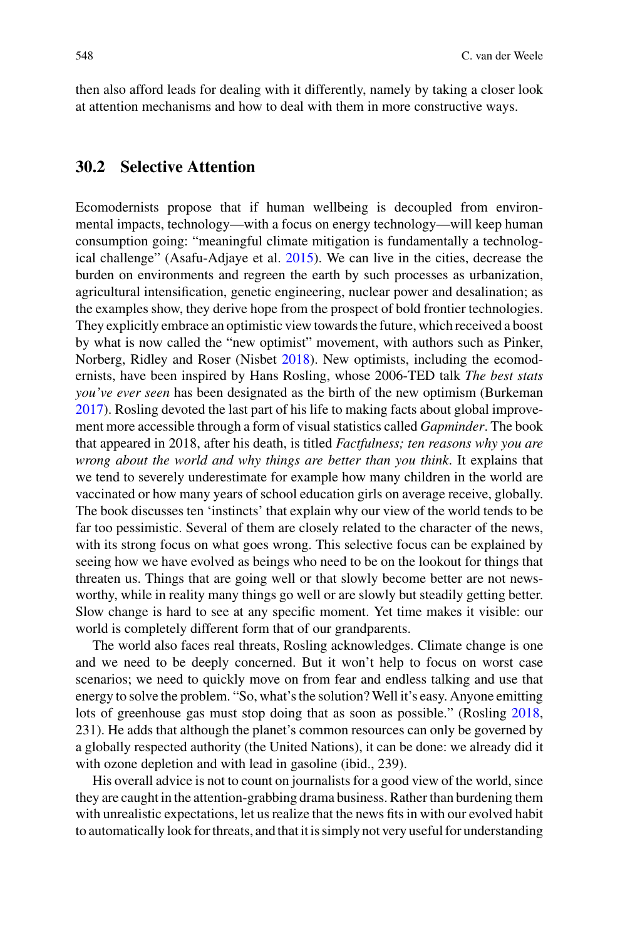then also afford leads for dealing with it differently, namely by taking a closer look at attention mechanisms and how to deal with them in more constructive ways.

### **30.2 Selective Attention**

Ecomodernists propose that if human wellbeing is decoupled from environmental impacts, technology—with a focus on energy technology—will keep human consumption going: "meaningful climate mitigation is fundamentally a technological challenge" (Asafu-Adjaye et al. [2015\)](#page-11-3). We can live in the cities, decrease the burden on environments and regreen the earth by such processes as urbanization, agricultural intensification, genetic engineering, nuclear power and desalination; as the examples show, they derive hope from the prospect of bold frontier technologies. They explicitly embrace an optimistic view towards the future, which received a boost by what is now called the "new optimist" movement, with authors such as Pinker, Norberg, Ridley and Roser (Nisbet [2018\)](#page-11-6). New optimists, including the ecomodernists, have been inspired by Hans Rosling, whose 2006-TED talk *The best stats you've ever seen* has been designated as the birth of the new optimism (Burkeman [2017\)](#page-11-7). Rosling devoted the last part of his life to making facts about global improvement more accessible through a form of visual statistics called *Gapminder*. The book that appeared in 2018, after his death, is titled *Factfulness; ten reasons why you are wrong about the world and why things are better than you think*. It explains that we tend to severely underestimate for example how many children in the world are vaccinated or how many years of school education girls on average receive, globally. The book discusses ten 'instincts' that explain why our view of the world tends to be far too pessimistic. Several of them are closely related to the character of the news, with its strong focus on what goes wrong. This selective focus can be explained by seeing how we have evolved as beings who need to be on the lookout for things that threaten us. Things that are going well or that slowly become better are not newsworthy, while in reality many things go well or are slowly but steadily getting better. Slow change is hard to see at any specific moment. Yet time makes it visible: our world is completely different form that of our grandparents.

The world also faces real threats, Rosling acknowledges. Climate change is one and we need to be deeply concerned. But it won't help to focus on worst case scenarios; we need to quickly move on from fear and endless talking and use that energy to solve the problem. "So, what's the solution? Well it's easy. Anyone emitting lots of greenhouse gas must stop doing that as soon as possible." (Rosling [2018,](#page-11-8) 231). He adds that although the planet's common resources can only be governed by a globally respected authority (the United Nations), it can be done: we already did it with ozone depletion and with lead in gasoline (ibid., 239).

His overall advice is not to count on journalists for a good view of the world, since they are caught in the attention-grabbing drama business. Rather than burdening them with unrealistic expectations, let us realize that the news fits in with our evolved habit to automatically look for threats, and that it is simply not very useful for understanding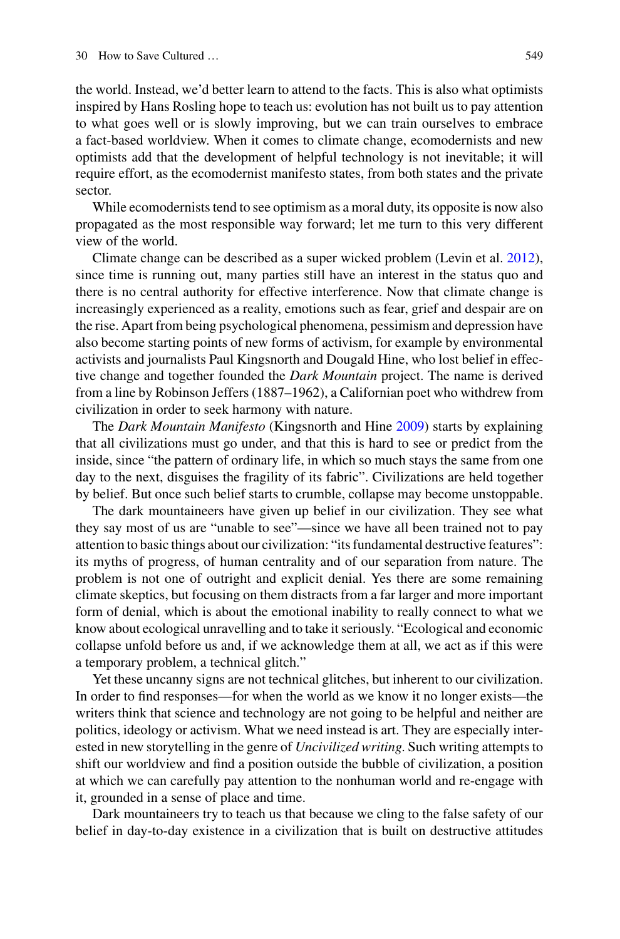the world. Instead, we'd better learn to attend to the facts. This is also what optimists inspired by Hans Rosling hope to teach us: evolution has not built us to pay attention to what goes well or is slowly improving, but we can train ourselves to embrace a fact-based worldview. When it comes to climate change, ecomodernists and new optimists add that the development of helpful technology is not inevitable; it will require effort, as the ecomodernist manifesto states, from both states and the private sector.

While ecomodernists tend to see optimism as a moral duty, its opposite is now also propagated as the most responsible way forward; let me turn to this very different view of the world.

Climate change can be described as a super wicked problem (Levin et al. [2012\)](#page-11-9), since time is running out, many parties still have an interest in the status quo and there is no central authority for effective interference. Now that climate change is increasingly experienced as a reality, emotions such as fear, grief and despair are on the rise. Apart from being psychological phenomena, pessimism and depression have also become starting points of new forms of activism, for example by environmental activists and journalists Paul Kingsnorth and Dougald Hine, who lost belief in effective change and together founded the *Dark Mountain* project. The name is derived from a line by Robinson Jeffers (1887–1962), a Californian poet who withdrew from civilization in order to seek harmony with nature.

The *Dark Mountain Manifesto* (Kingsnorth and Hine [2009\)](#page-11-10) starts by explaining that all civilizations must go under, and that this is hard to see or predict from the inside, since "the pattern of ordinary life, in which so much stays the same from one day to the next, disguises the fragility of its fabric". Civilizations are held together by belief. But once such belief starts to crumble, collapse may become unstoppable.

The dark mountaineers have given up belief in our civilization. They see what they say most of us are "unable to see"—since we have all been trained not to pay attention to basic things about our civilization: "its fundamental destructive features": its myths of progress, of human centrality and of our separation from nature. The problem is not one of outright and explicit denial. Yes there are some remaining climate skeptics, but focusing on them distracts from a far larger and more important form of denial, which is about the emotional inability to really connect to what we know about ecological unravelling and to take it seriously. "Ecological and economic collapse unfold before us and, if we acknowledge them at all, we act as if this were a temporary problem, a technical glitch."

Yet these uncanny signs are not technical glitches, but inherent to our civilization. In order to find responses—for when the world as we know it no longer exists—the writers think that science and technology are not going to be helpful and neither are politics, ideology or activism. What we need instead is art. They are especially interested in new storytelling in the genre of *Uncivilized writing*. Such writing attempts to shift our worldview and find a position outside the bubble of civilization, a position at which we can carefully pay attention to the nonhuman world and re-engage with it, grounded in a sense of place and time.

Dark mountaineers try to teach us that because we cling to the false safety of our belief in day-to-day existence in a civilization that is built on destructive attitudes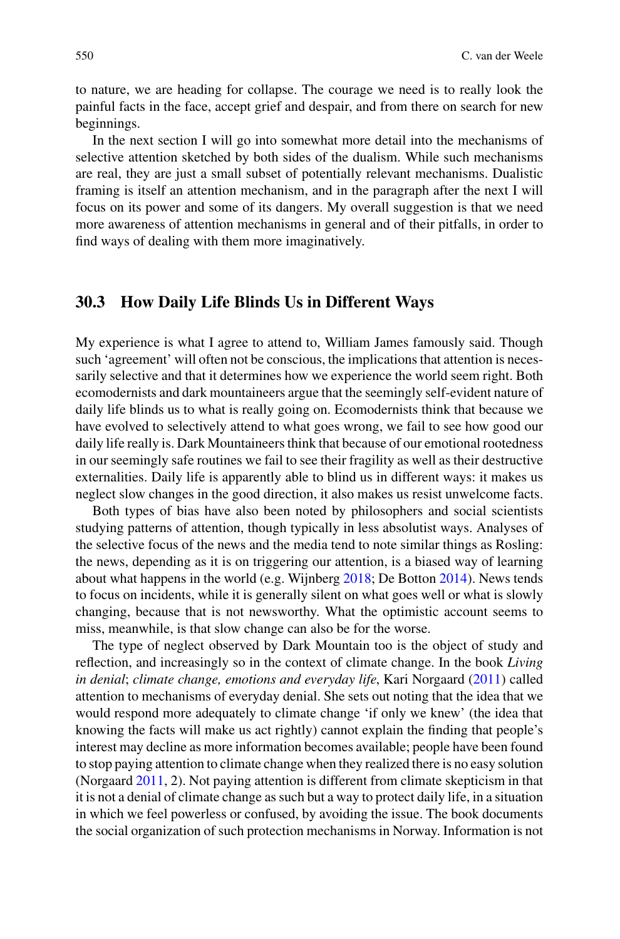to nature, we are heading for collapse. The courage we need is to really look the painful facts in the face, accept grief and despair, and from there on search for new beginnings.

In the next section I will go into somewhat more detail into the mechanisms of selective attention sketched by both sides of the dualism. While such mechanisms are real, they are just a small subset of potentially relevant mechanisms. Dualistic framing is itself an attention mechanism, and in the paragraph after the next I will focus on its power and some of its dangers. My overall suggestion is that we need more awareness of attention mechanisms in general and of their pitfalls, in order to find ways of dealing with them more imaginatively.

### **30.3 How Daily Life Blinds Us in Different Ways**

My experience is what I agree to attend to, William James famously said. Though such 'agreement' will often not be conscious, the implications that attention is necessarily selective and that it determines how we experience the world seem right. Both ecomodernists and dark mountaineers argue that the seemingly self-evident nature of daily life blinds us to what is really going on. Ecomodernists think that because we have evolved to selectively attend to what goes wrong, we fail to see how good our daily life really is. Dark Mountaineers think that because of our emotional rootedness in our seemingly safe routines we fail to see their fragility as well as their destructive externalities. Daily life is apparently able to blind us in different ways: it makes us neglect slow changes in the good direction, it also makes us resist unwelcome facts.

Both types of bias have also been noted by philosophers and social scientists studying patterns of attention, though typically in less absolutist ways. Analyses of the selective focus of the news and the media tend to note similar things as Rosling: the news, depending as it is on triggering our attention, is a biased way of learning about what happens in the world (e.g. Wijnberg [2018;](#page-12-2) De Botton [2014\)](#page-11-11). News tends to focus on incidents, while it is generally silent on what goes well or what is slowly changing, because that is not newsworthy. What the optimistic account seems to miss, meanwhile, is that slow change can also be for the worse.

The type of neglect observed by Dark Mountain too is the object of study and reflection, and increasingly so in the context of climate change. In the book *Living in denial*; *climate change, emotions and everyday life*, Kari Norgaard [\(2011\)](#page-11-12) called attention to mechanisms of everyday denial. She sets out noting that the idea that we would respond more adequately to climate change 'if only we knew' (the idea that knowing the facts will make us act rightly) cannot explain the finding that people's interest may decline as more information becomes available; people have been found to stop paying attention to climate change when they realized there is no easy solution (Norgaard [2011,](#page-11-12) 2). Not paying attention is different from climate skepticism in that it is not a denial of climate change as such but a way to protect daily life, in a situation in which we feel powerless or confused, by avoiding the issue. The book documents the social organization of such protection mechanisms in Norway. Information is not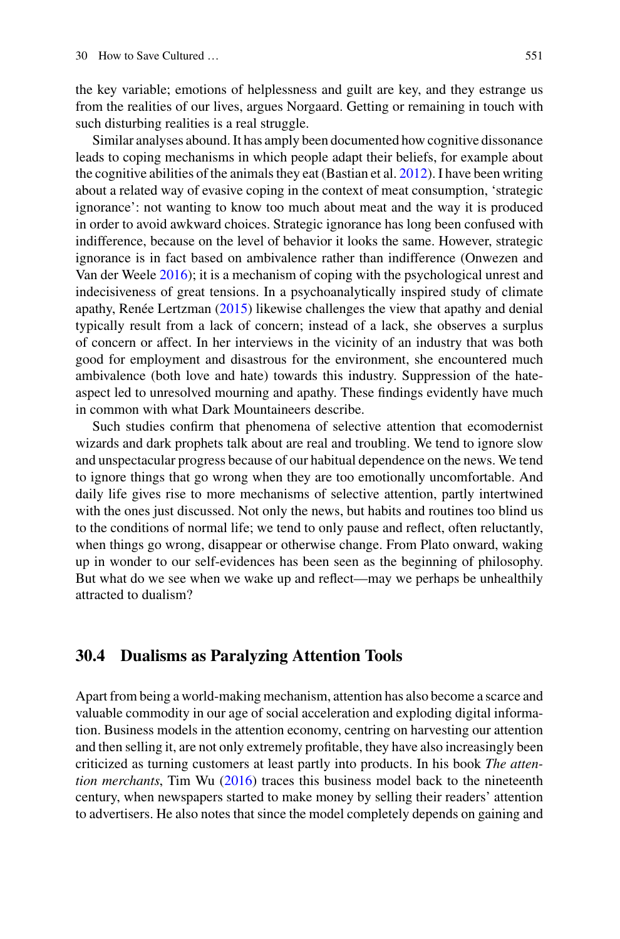the key variable; emotions of helplessness and guilt are key, and they estrange us from the realities of our lives, argues Norgaard. Getting or remaining in touch with such disturbing realities is a real struggle.

Similar analyses abound. It has amply been documented how cognitive dissonance leads to coping mechanisms in which people adapt their beliefs, for example about the cognitive abilities of the animals they eat (Bastian et al. [2012\)](#page-11-13). I have been writing about a related way of evasive coping in the context of meat consumption, 'strategic ignorance': not wanting to know too much about meat and the way it is produced in order to avoid awkward choices. Strategic ignorance has long been confused with indifference, because on the level of behavior it looks the same. However, strategic ignorance is in fact based on ambivalence rather than indifference (Onwezen and Van der Weele [2016\)](#page-11-14); it is a mechanism of coping with the psychological unrest and indecisiveness of great tensions. In a psychoanalytically inspired study of climate apathy, Renée Lertzman [\(2015\)](#page-11-15) likewise challenges the view that apathy and denial typically result from a lack of concern; instead of a lack, she observes a surplus of concern or affect. In her interviews in the vicinity of an industry that was both good for employment and disastrous for the environment, she encountered much ambivalence (both love and hate) towards this industry. Suppression of the hateaspect led to unresolved mourning and apathy. These findings evidently have much in common with what Dark Mountaineers describe.

Such studies confirm that phenomena of selective attention that ecomodernist wizards and dark prophets talk about are real and troubling. We tend to ignore slow and unspectacular progress because of our habitual dependence on the news. We tend to ignore things that go wrong when they are too emotionally uncomfortable. And daily life gives rise to more mechanisms of selective attention, partly intertwined with the ones just discussed. Not only the news, but habits and routines too blind us to the conditions of normal life; we tend to only pause and reflect, often reluctantly, when things go wrong, disappear or otherwise change. From Plato onward, waking up in wonder to our self-evidences has been seen as the beginning of philosophy. But what do we see when we wake up and reflect—may we perhaps be unhealthily attracted to dualism?

#### **30.4 Dualisms as Paralyzing Attention Tools**

Apart from being a world-making mechanism, attention has also become a scarce and valuable commodity in our age of social acceleration and exploding digital information. Business models in the attention economy, centring on harvesting our attention and then selling it, are not only extremely profitable, they have also increasingly been criticized as turning customers at least partly into products. In his book *The attention merchants*, Tim Wu [\(2016\)](#page-12-3) traces this business model back to the nineteenth century, when newspapers started to make money by selling their readers' attention to advertisers. He also notes that since the model completely depends on gaining and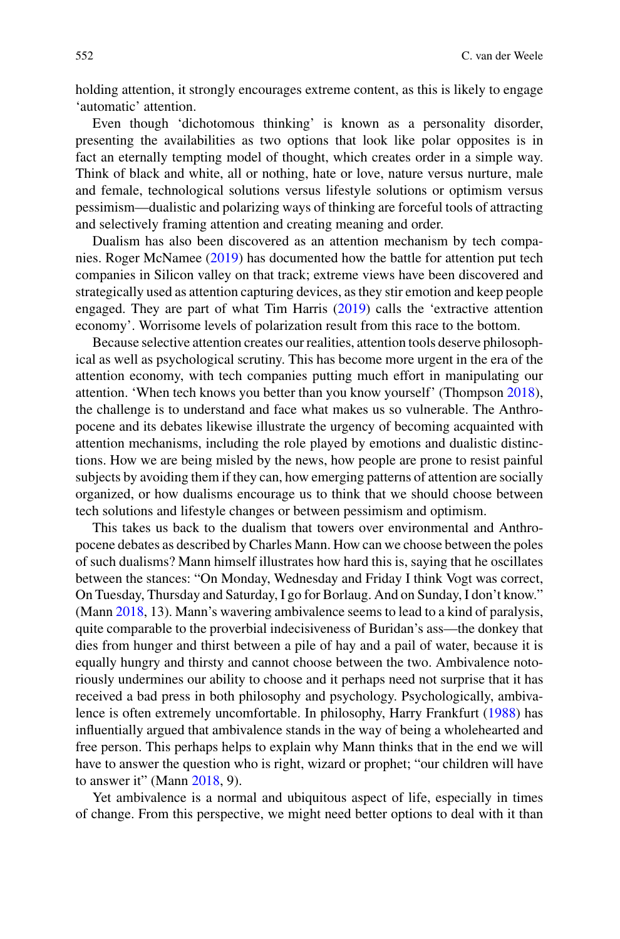holding attention, it strongly encourages extreme content, as this is likely to engage 'automatic' attention.

Even though 'dichotomous thinking' is known as a personality disorder, presenting the availabilities as two options that look like polar opposites is in fact an eternally tempting model of thought, which creates order in a simple way. Think of black and white, all or nothing, hate or love, nature versus nurture, male and female, technological solutions versus lifestyle solutions or optimism versus pessimism—dualistic and polarizing ways of thinking are forceful tools of attracting and selectively framing attention and creating meaning and order.

Dualism has also been discovered as an attention mechanism by tech companies. Roger McNamee [\(2019\)](#page-11-16) has documented how the battle for attention put tech companies in Silicon valley on that track; extreme views have been discovered and strategically used as attention capturing devices, as they stir emotion and keep people engaged. They are part of what Tim Harris [\(2019\)](#page-11-17) calls the 'extractive attention economy'. Worrisome levels of polarization result from this race to the bottom.

Because selective attention creates our realities, attention tools deserve philosophical as well as psychological scrutiny. This has become more urgent in the era of the attention economy, with tech companies putting much effort in manipulating our attention. 'When tech knows you better than you know yourself' (Thompson [2018\)](#page-11-18), the challenge is to understand and face what makes us so vulnerable. The Anthropocene and its debates likewise illustrate the urgency of becoming acquainted with attention mechanisms, including the role played by emotions and dualistic distinctions. How we are being misled by the news, how people are prone to resist painful subjects by avoiding them if they can, how emerging patterns of attention are socially organized, or how dualisms encourage us to think that we should choose between tech solutions and lifestyle changes or between pessimism and optimism.

This takes us back to the dualism that towers over environmental and Anthropocene debates as described by Charles Mann. How can we choose between the poles of such dualisms? Mann himself illustrates how hard this is, saying that he oscillates between the stances: "On Monday, Wednesday and Friday I think Vogt was correct, On Tuesday, Thursday and Saturday, I go for Borlaug. And on Sunday, I don't know." (Mann [2018,](#page-11-5) 13). Mann's wavering ambivalence seems to lead to a kind of paralysis, quite comparable to the proverbial indecisiveness of Buridan's ass—the donkey that dies from hunger and thirst between a pile of hay and a pail of water, because it is equally hungry and thirsty and cannot choose between the two. Ambivalence notoriously undermines our ability to choose and it perhaps need not surprise that it has received a bad press in both philosophy and psychology. Psychologically, ambivalence is often extremely uncomfortable. In philosophy, Harry Frankfurt [\(1988\)](#page-11-19) has influentially argued that ambivalence stands in the way of being a wholehearted and free person. This perhaps helps to explain why Mann thinks that in the end we will have to answer the question who is right, wizard or prophet; "our children will have to answer it" (Mann [2018,](#page-11-5) 9).

Yet ambivalence is a normal and ubiquitous aspect of life, especially in times of change. From this perspective, we might need better options to deal with it than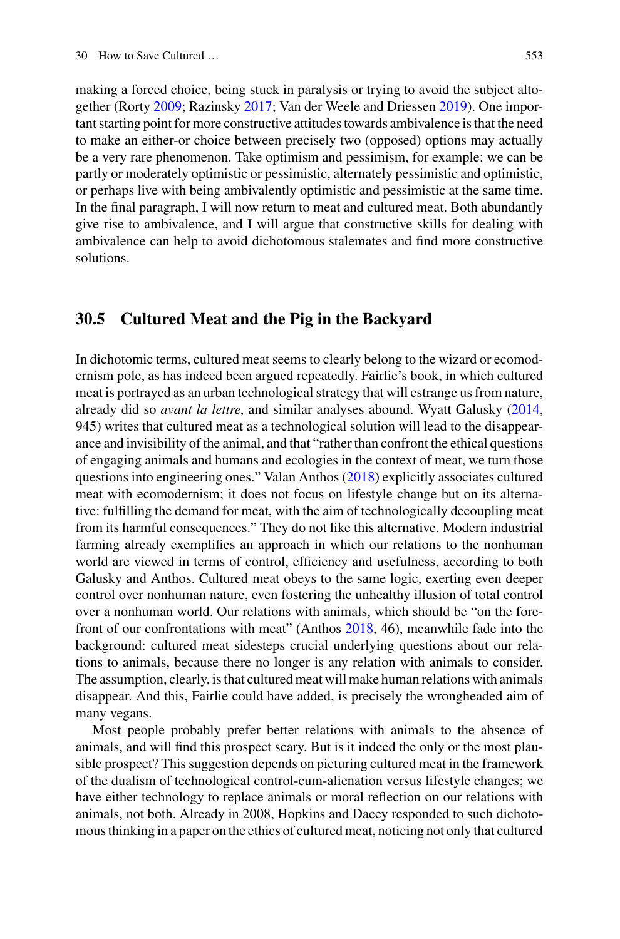making a forced choice, being stuck in paralysis or trying to avoid the subject altogether (Rorty [2009;](#page-11-20) Razinsky [2017;](#page-11-21) Van der Weele and Driessen [2019\)](#page-12-4). One important starting point for more constructive attitudes towards ambivalence is that the need to make an either-or choice between precisely two (opposed) options may actually be a very rare phenomenon. Take optimism and pessimism, for example: we can be partly or moderately optimistic or pessimistic, alternately pessimistic and optimistic, or perhaps live with being ambivalently optimistic and pessimistic at the same time. In the final paragraph, I will now return to meat and cultured meat. Both abundantly give rise to ambivalence, and I will argue that constructive skills for dealing with ambivalence can help to avoid dichotomous stalemates and find more constructive solutions.

#### **30.5 Cultured Meat and the Pig in the Backyard**

In dichotomic terms, cultured meat seems to clearly belong to the wizard or ecomodernism pole, as has indeed been argued repeatedly. Fairlie's book, in which cultured meat is portrayed as an urban technological strategy that will estrange us from nature, already did so *avant la lettre*, and similar analyses abound. Wyatt Galusky [\(2014,](#page-11-22) 945) writes that cultured meat as a technological solution will lead to the disappearance and invisibility of the animal, and that "rather than confront the ethical questions of engaging animals and humans and ecologies in the context of meat, we turn those questions into engineering ones." Valan Anthos [\(2018\)](#page-10-0) explicitly associates cultured meat with ecomodernism; it does not focus on lifestyle change but on its alternative: fulfilling the demand for meat, with the aim of technologically decoupling meat from its harmful consequences." They do not like this alternative. Modern industrial farming already exemplifies an approach in which our relations to the nonhuman world are viewed in terms of control, efficiency and usefulness, according to both Galusky and Anthos. Cultured meat obeys to the same logic, exerting even deeper control over nonhuman nature, even fostering the unhealthy illusion of total control over a nonhuman world. Our relations with animals, which should be "on the forefront of our confrontations with meat" (Anthos [2018,](#page-10-0) 46), meanwhile fade into the background: cultured meat sidesteps crucial underlying questions about our relations to animals, because there no longer is any relation with animals to consider. The assumption, clearly, is that cultured meat will make human relations with animals disappear. And this, Fairlie could have added, is precisely the wrongheaded aim of many vegans.

Most people probably prefer better relations with animals to the absence of animals, and will find this prospect scary. But is it indeed the only or the most plausible prospect? This suggestion depends on picturing cultured meat in the framework of the dualism of technological control-cum-alienation versus lifestyle changes; we have either technology to replace animals or moral reflection on our relations with animals, not both. Already in 2008, Hopkins and Dacey responded to such dichotomous thinking in a paper on the ethics of cultured meat, noticing not only that cultured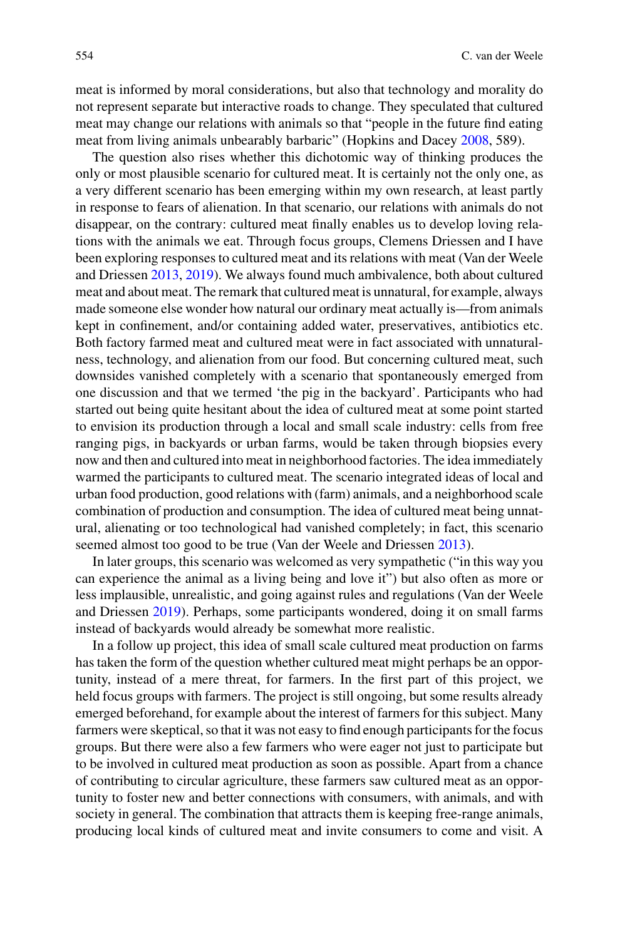meat is informed by moral considerations, but also that technology and morality do not represent separate but interactive roads to change. They speculated that cultured meat may change our relations with animals so that "people in the future find eating meat from living animals unbearably barbaric" (Hopkins and Dacey [2008,](#page-11-23) 589).

The question also rises whether this dichotomic way of thinking produces the only or most plausible scenario for cultured meat. It is certainly not the only one, as a very different scenario has been emerging within my own research, at least partly in response to fears of alienation. In that scenario, our relations with animals do not disappear, on the contrary: cultured meat finally enables us to develop loving relations with the animals we eat. Through focus groups, Clemens Driessen and I have been exploring responses to cultured meat and its relations with meat (Van der Weele and Driessen [2013,](#page-11-24) [2019\)](#page-12-4). We always found much ambivalence, both about cultured meat and about meat. The remark that cultured meat is unnatural, for example, always made someone else wonder how natural our ordinary meat actually is—from animals kept in confinement, and/or containing added water, preservatives, antibiotics etc. Both factory farmed meat and cultured meat were in fact associated with unnaturalness, technology, and alienation from our food. But concerning cultured meat, such downsides vanished completely with a scenario that spontaneously emerged from one discussion and that we termed 'the pig in the backyard'. Participants who had started out being quite hesitant about the idea of cultured meat at some point started to envision its production through a local and small scale industry: cells from free ranging pigs, in backyards or urban farms, would be taken through biopsies every now and then and cultured into meat in neighborhood factories. The idea immediately warmed the participants to cultured meat. The scenario integrated ideas of local and urban food production, good relations with (farm) animals, and a neighborhood scale combination of production and consumption. The idea of cultured meat being unnatural, alienating or too technological had vanished completely; in fact, this scenario seemed almost too good to be true (Van der Weele and Driessen [2013\)](#page-11-24).

In later groups, this scenario was welcomed as very sympathetic ("in this way you can experience the animal as a living being and love it") but also often as more or less implausible, unrealistic, and going against rules and regulations (Van der Weele and Driessen [2019\)](#page-12-4). Perhaps, some participants wondered, doing it on small farms instead of backyards would already be somewhat more realistic.

In a follow up project, this idea of small scale cultured meat production on farms has taken the form of the question whether cultured meat might perhaps be an opportunity, instead of a mere threat, for farmers. In the first part of this project, we held focus groups with farmers. The project is still ongoing, but some results already emerged beforehand, for example about the interest of farmers for this subject. Many farmers were skeptical, so that it was not easy to find enough participants for the focus groups. But there were also a few farmers who were eager not just to participate but to be involved in cultured meat production as soon as possible. Apart from a chance of contributing to circular agriculture, these farmers saw cultured meat as an opportunity to foster new and better connections with consumers, with animals, and with society in general. The combination that attracts them is keeping free-range animals, producing local kinds of cultured meat and invite consumers to come and visit. A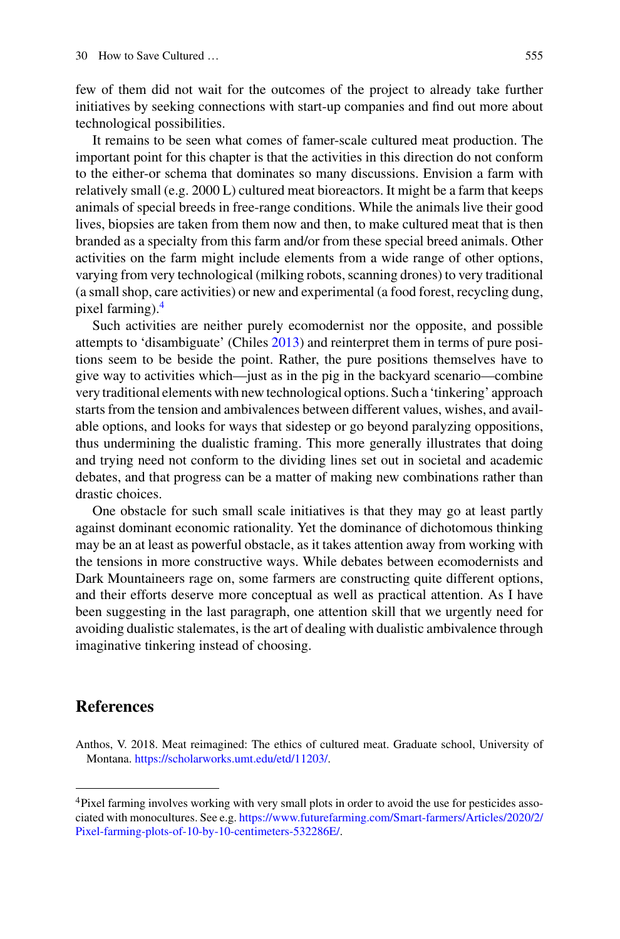few of them did not wait for the outcomes of the project to already take further initiatives by seeking connections with start-up companies and find out more about technological possibilities.

It remains to be seen what comes of famer-scale cultured meat production. The important point for this chapter is that the activities in this direction do not conform to the either-or schema that dominates so many discussions. Envision a farm with relatively small (e.g.  $2000 \text{ L}$ ) cultured meat bioreactors. It might be a farm that keeps animals of special breeds in free-range conditions. While the animals live their good lives, biopsies are taken from them now and then, to make cultured meat that is then branded as a specialty from this farm and/or from these special breed animals. Other activities on the farm might include elements from a wide range of other options, varying from very technological (milking robots, scanning drones) to very traditional (a small shop, care activities) or new and experimental (a food forest, recycling dung, pixel farming).[4](#page-10-1)

Such activities are neither purely ecomodernist nor the opposite, and possible attempts to 'disambiguate' (Chiles [2013\)](#page-11-25) and reinterpret them in terms of pure positions seem to be beside the point. Rather, the pure positions themselves have to give way to activities which—just as in the pig in the backyard scenario—combine very traditional elements with new technological options. Such a 'tinkering' approach starts from the tension and ambivalences between different values, wishes, and available options, and looks for ways that sidestep or go beyond paralyzing oppositions, thus undermining the dualistic framing. This more generally illustrates that doing and trying need not conform to the dividing lines set out in societal and academic debates, and that progress can be a matter of making new combinations rather than drastic choices.

One obstacle for such small scale initiatives is that they may go at least partly against dominant economic rationality. Yet the dominance of dichotomous thinking may be an at least as powerful obstacle, as it takes attention away from working with the tensions in more constructive ways. While debates between ecomodernists and Dark Mountaineers rage on, some farmers are constructing quite different options, and their efforts deserve more conceptual as well as practical attention. As I have been suggesting in the last paragraph, one attention skill that we urgently need for avoiding dualistic stalemates, is the art of dealing with dualistic ambivalence through imaginative tinkering instead of choosing.

### **References**

<span id="page-10-0"></span>Anthos, V. 2018. Meat reimagined: The ethics of cultured meat. Graduate school, University of Montana. [https://scholarworks.umt.edu/etd/11203/.](https://scholarworks.umt.edu/etd/11203/)

<span id="page-10-1"></span><sup>4</sup>Pixel farming involves working with very small plots in order to avoid the use for pesticides associated with monocultures. See e.g. [https://www.futurefarming.com/Smart-farmers/Articles/2020/2/](https://www.futurefarming.com/Smart-farmers/Articles/2020/2/Pixel-farming-plots-of-10-by-10-centimeters-532286E/) Pixel-farming-plots-of-10-by-10-centimeters-532286E/.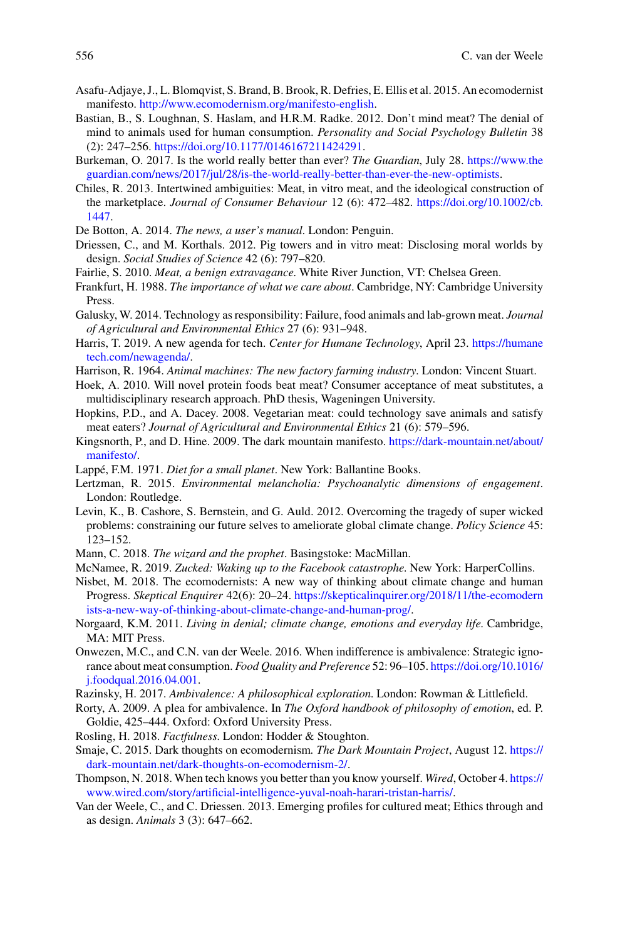- <span id="page-11-3"></span>Asafu-Adjaye, J., L. Blomqvist, S. Brand, B. Brook, R. Defries, E. Ellis et al. 2015. An ecomodernist manifesto. [http://www.ecomodernism.org/manifesto-english.](http://www.ecomodernism.org/manifesto-english)
- <span id="page-11-13"></span>Bastian, B., S. Loughnan, S. Haslam, and H.R.M. Radke. 2012. Don't mind meat? The denial of mind to animals used for human consumption. *Personality and Social Psychology Bulletin* 38 (2): 247–256. [https://doi.org/10.1177/0146167211424291.](https://doi.org/10.1177/0146167211424291)
- <span id="page-11-7"></span>Burkeman, O. 2017. Is the world really better than ever? *The Guardian*, July 28. https://www.the [guardian.com/news/2017/jul/28/is-the-world-really-better-than-ever-the-new-optimists.](https://www.theguardian.com/news/2017/jul/28/is-the-world-really-better-than-ever-the-new-optimists)
- <span id="page-11-25"></span>Chiles, R. 2013. Intertwined ambiguities: Meat, in vitro meat, and the ideological construction of the marketplace. *[Journal of Consumer Behaviour](https://doi.org/10.1002/cb.1447)* 12 (6): 472–482. https://doi.org/10.1002/cb. 1447.
- <span id="page-11-11"></span>De Botton, A. 2014. *The news, a user's manual*. London: Penguin.
- <span id="page-11-1"></span>Driessen, C., and M. Korthals. 2012. Pig towers and in vitro meat: Disclosing moral worlds by design. *Social Studies of Science* 42 (6): 797–820.
- <span id="page-11-2"></span>Fairlie, S. 2010. *Meat, a benign extravagance*. White River Junction, VT: Chelsea Green.
- <span id="page-11-19"></span>Frankfurt, H. 1988. *The importance of what we care about*. Cambridge, NY: Cambridge University Press.
- <span id="page-11-22"></span>Galusky, W. 2014. Technology as responsibility: Failure, food animals and lab-grown meat. *Journal of Agricultural and Environmental Ethics* 27 (6): 931–948.
- <span id="page-11-17"></span>[Harris, T. 2019. A new agenda for tech.](https://humanetech.com/newagenda/) *Center for Humane Technology*, April 23. https://humane tech.com/newagenda/.
- Harrison, R. 1964. *Animal machines: The new factory farming industry*. London: Vincent Stuart.
- <span id="page-11-0"></span>Hoek, A. 2010. Will novel protein foods beat meat? Consumer acceptance of meat substitutes, a multidisciplinary research approach. PhD thesis, Wageningen University.
- <span id="page-11-23"></span>Hopkins, P.D., and A. Dacey. 2008. Vegetarian meat: could technology save animals and satisfy meat eaters? *Journal of Agricultural and Environmental Ethics* 21 (6): 579–596.
- <span id="page-11-10"></span>[Kingsnorth, P., and D. Hine. 2009. The dark mountain manifesto.](https://dark-mountain.net/about/manifesto/) https://dark-mountain.net/about/ manifesto/.
- Lappé, F.M. 1971. *Diet for a small planet*. New York: Ballantine Books.
- <span id="page-11-15"></span>Lertzman, R. 2015. *Environmental melancholia: Psychoanalytic dimensions of engagement*. London: Routledge.
- <span id="page-11-9"></span>Levin, K., B. Cashore, S. Bernstein, and G. Auld. 2012. Overcoming the tragedy of super wicked problems: constraining our future selves to ameliorate global climate change. *Policy Science* 45: 123–152.
- <span id="page-11-5"></span>Mann, C. 2018. *The wizard and the prophet*. Basingstoke: MacMillan.
- <span id="page-11-16"></span>McNamee, R. 2019. *Zucked: Waking up to the Facebook catastrophe*. New York: HarperCollins.
- <span id="page-11-6"></span>Nisbet, M. 2018. The ecomodernists: A new way of thinking about climate change and human Progress. *Skeptical Enquirer* 42(6): 20–24. https://skepticalinquirer.org/2018/11/the-ecomodern [ists-a-new-way-of-thinking-about-climate-change-and-human-prog/.](https://skepticalinquirer.org/2018/11/the-ecomodernists-a-new-way-of-thinking-about-climate-change-and-human-prog/)
- <span id="page-11-12"></span>Norgaard, K.M. 2011. *Living in denial; climate change, emotions and everyday life*. Cambridge, MA: MIT Press.
- <span id="page-11-14"></span>Onwezen, M.C., and C.N. van der Weele. 2016. When indifference is ambivalence: Strategic igno[rance about meat consumption.](https://doi.org/10.1016/j.foodqual.2016.04.001) *Food Quality and Preference* 52: 96–105. https://doi.org/10.1016/ j.foodqual.2016.04.001.
- <span id="page-11-21"></span>Razinsky, H. 2017. *Ambivalence: A philosophical exploration*. London: Rowman & Littlefield.
- <span id="page-11-20"></span>Rorty, A. 2009. A plea for ambivalence. In *The Oxford handbook of philosophy of emotion*, ed. P. Goldie, 425–444. Oxford: Oxford University Press.
- <span id="page-11-8"></span>Rosling, H. 2018. *Factfulness*. London: Hodder & Stoughton.
- <span id="page-11-4"></span>Smaje, C. 2015. Dark thoughts on ecomodernism*. The Dark Mountain Project*, August 12. https:// [dark-mountain.net/dark-thoughts-on-ecomodernism-2/.](https://dark-mountain.net/dark-thoughts-on-ecomodernism-2/)
- <span id="page-11-18"></span>Thompson, N. 2018. When tech knows you better than you know yourself. *Wired*, October 4. https:// [www.wired.com/story/artificial-intelligence-yuval-noah-harari-tristan-harris/.](https://www.wired.com/story/artificial-intelligence-yuval-noah-harari-tristan-harris/)
- <span id="page-11-24"></span>Van der Weele, C., and C. Driessen. 2013. Emerging profiles for cultured meat; Ethics through and as design. *Animals* 3 (3): 647–662.